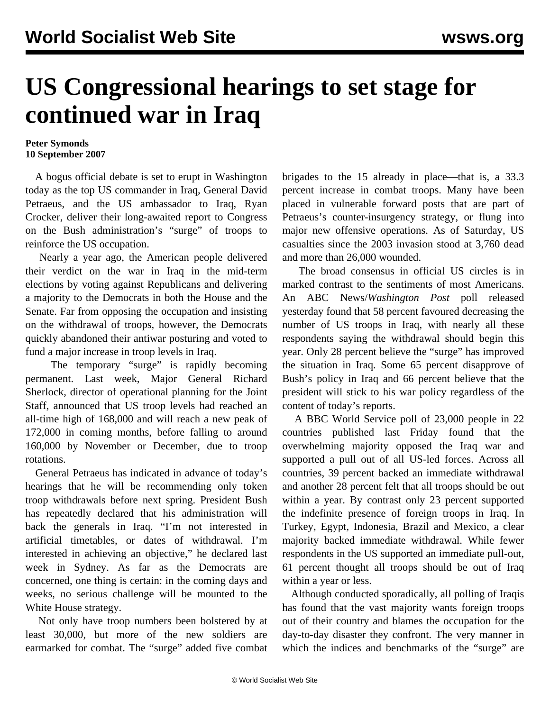## **US Congressional hearings to set stage for continued war in Iraq**

## **Peter Symonds 10 September 2007**

 A bogus official debate is set to erupt in Washington today as the top US commander in Iraq, General David Petraeus, and the US ambassador to Iraq, Ryan Crocker, deliver their long-awaited report to Congress on the Bush administration's "surge" of troops to reinforce the US occupation.

 Nearly a year ago, the American people delivered their verdict on the war in Iraq in the mid-term elections by voting against Republicans and delivering a majority to the Democrats in both the House and the Senate. Far from opposing the occupation and insisting on the withdrawal of troops, however, the Democrats quickly abandoned their antiwar posturing and voted to fund a major increase in troop levels in Iraq.

The temporary "surge" is rapidly becoming permanent. Last week, Major General Richard Sherlock, director of operational planning for the Joint Staff, announced that US troop levels had reached an all-time high of 168,000 and will reach a new peak of 172,000 in coming months, before falling to around 160,000 by November or December, due to troop rotations.

 General Petraeus has indicated in advance of today's hearings that he will be recommending only token troop withdrawals before next spring. President Bush has repeatedly declared that his administration will back the generals in Iraq. "I'm not interested in artificial timetables, or dates of withdrawal. I'm interested in achieving an objective," he declared last week in Sydney. As far as the Democrats are concerned, one thing is certain: in the coming days and weeks, no serious challenge will be mounted to the White House strategy.

 Not only have troop numbers been bolstered by at least 30,000, but more of the new soldiers are earmarked for combat. The "surge" added five combat brigades to the 15 already in place—that is, a 33.3 percent increase in combat troops. Many have been placed in vulnerable forward posts that are part of Petraeus's counter-insurgency strategy, or flung into major new offensive operations. As of Saturday, US casualties since the 2003 invasion stood at 3,760 dead and more than 26,000 wounded.

 The broad consensus in official US circles is in marked contrast to the sentiments of most Americans. An ABC News/*Washington Post* poll released yesterday found that 58 percent favoured decreasing the number of US troops in Iraq, with nearly all these respondents saying the withdrawal should begin this year. Only 28 percent believe the "surge" has improved the situation in Iraq. Some 65 percent disapprove of Bush's policy in Iraq and 66 percent believe that the president will stick to his war policy regardless of the content of today's reports.

 A BBC World Service poll of 23,000 people in 22 countries published last Friday found that the overwhelming majority opposed the Iraq war and supported a pull out of all US-led forces. Across all countries, 39 percent backed an immediate withdrawal and another 28 percent felt that all troops should be out within a year. By contrast only 23 percent supported the indefinite presence of foreign troops in Iraq. In Turkey, Egypt, Indonesia, Brazil and Mexico, a clear majority backed immediate withdrawal. While fewer respondents in the US supported an immediate pull-out, 61 percent thought all troops should be out of Iraq within a year or less.

 Although conducted sporadically, all polling of Iraqis has found that the vast majority wants foreign troops out of their country and blames the occupation for the day-to-day disaster they confront. The very manner in which the indices and benchmarks of the "surge" are